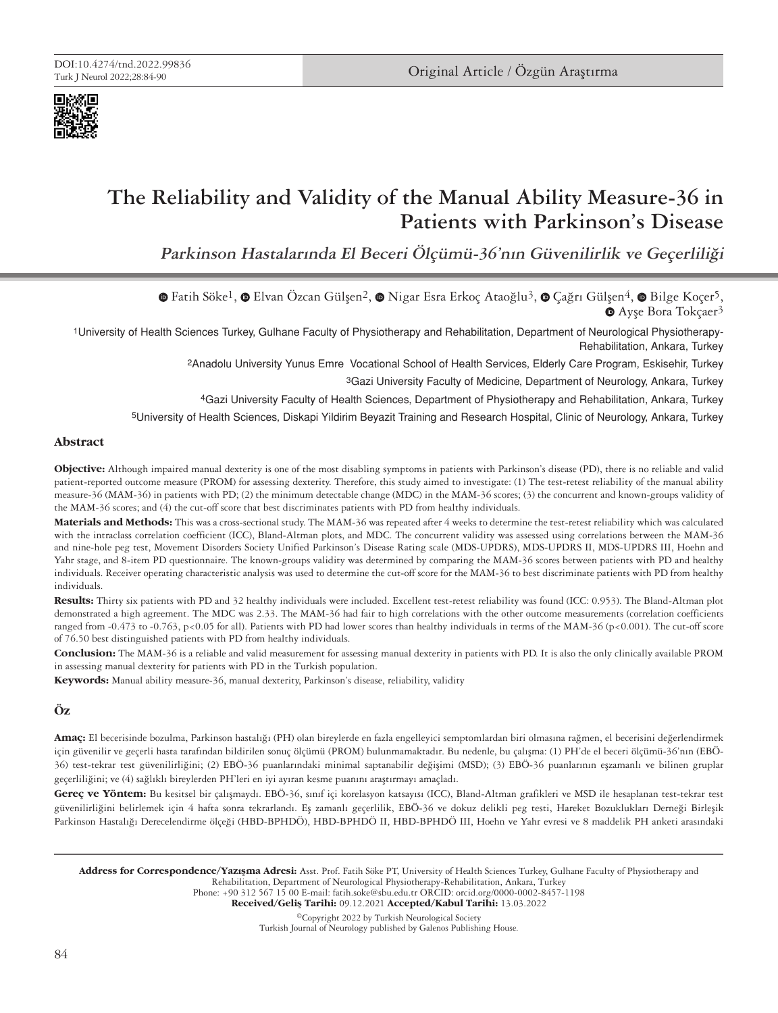



# **The Reliability and Validity of the Manual Ability Measure-36 in Patients with Parkinson's Disease**

**Parkinson Hastalarında El Beceri Ölçümü-36'nın Güvenilirlik ve Geçerliliği**

 $\bullet$ Fatih Söke<sup>1</sup>,  $\bullet$  Elvan Özcan Gülsen<sup>2</sup>,  $\bullet$  Nigar Esra Erkoç Ataoğlu<sup>3</sup>,  $\bullet$  Cağrı Gülsen<sup>4</sup>,  $\bullet$  Bilge Koçer<sup>5</sup>, ●Ayşe Bora Tokçaer<sup>3</sup>

1University of Health Sciences Turkey, Gulhane Faculty of Physiotherapy and Rehabilitation, Department of Neurological Physiotherapy-Rehabilitation, Ankara, Turkey

2Anadolu University Yunus Emre Vocational School of Health Services, Elderly Care Program, Eskisehir, Turkey

3Gazi University Faculty of Medicine, Department of Neurology, Ankara, Turkey

4Gazi University Faculty of Health Sciences, Department of Physiotherapy and Rehabilitation, Ankara, Turkey

5University of Health Sciences, Diskapi Yildirim Beyazit Training and Research Hospital, Clinic of Neurology, Ankara, Turkey

#### **Abstract**

**Objective:** Although impaired manual dexterity is one of the most disabling symptoms in patients with Parkinson's disease (PD), there is no reliable and valid patient-reported outcome measure (PROM) for assessing dexterity. Therefore, this study aimed to investigate: (1) The test-retest reliability of the manual ability measure-36 (MAM-36) in patients with PD; (2) the minimum detectable change (MDC) in the MAM-36 scores; (3) the concurrent and known-groups validity of the MAM-36 scores; and (4) the cut-off score that best discriminates patients with PD from healthy individuals.

**Materials and Methods:** This was a cross-sectional study. The MAM-36 was repeated after 4 weeks to determine the test-retest reliability which was calculated with the intraclass correlation coefficient (ICC), Bland-Altman plots, and MDC. The concurrent validity was assessed using correlations between the MAM-36 and nine-hole peg test, Movement Disorders Society Unified Parkinson's Disease Rating scale (MDS-UPDRS), MDS-UPDRS II, MDS-UPDRS III, Hoehn and Yahr stage, and 8-item PD questionnaire. The known-groups validity was determined by comparing the MAM-36 scores between patients with PD and healthy individuals. Receiver operating characteristic analysis was used to determine the cut-off score for the MAM-36 to best discriminate patients with PD from healthy individuals.

**Results:** Thirty six patients with PD and 32 healthy individuals were included. Excellent test-retest reliability was found (ICC: 0.953). The Bland-Altman plot demonstrated a high agreement. The MDC was 2.33. The MAM-36 had fair to high correlations with the other outcome measurements (correlation coefficients ranged from -0.473 to -0.763, p<0.05 for all). Patients with PD had lower scores than healthy individuals in terms of the MAM-36 (p<0.001). The cut-off score of 76.50 best distinguished patients with PD from healthy individuals.

**Conclusion:** The MAM-36 is a reliable and valid measurement for assessing manual dexterity in patients with PD. It is also the only clinically available PROM in assessing manual dexterity for patients with PD in the Turkish population.

**Keywords:** Manual ability measure-36, manual dexterity, Parkinson's disease, reliability, validity

# **Öz**

**Amaç:** El becerisinde bozulma, Parkinson hastalığı (PH) olan bireylerde en fazla engelleyici semptomlardan biri olmasına rağmen, el becerisini değerlendirmek için güvenilir ve geçerli hasta tarafından bildirilen sonuç ölçümü (PROM) bulunmamaktadır. Bu nedenle, bu çalışma: (1) PH'de el beceri ölçümü-36'nın (EBÖ-36) test-tekrar test güvenilirliğini; (2) EBÖ-36 puanlarındaki minimal saptanabilir değişimi (MSD); (3) EBÖ-36 puanlarının eşzamanlı ve bilinen gruplar geçerliliğini; ve (4) sağlıklı bireylerden PH'leri en iyi ayıran kesme puanını araştırmayı amaçladı.

**Gereç ve Yöntem:** Bu kesitsel bir çalışmaydı. EBÖ-36, sınıf içi korelasyon katsayısı (ICC), Bland-Altman grafikleri ve MSD ile hesaplanan test-tekrar test güvenilirliğini belirlemek için 4 hafta sonra tekrarlandı. Eş zamanlı geçerlilik, EBÖ-36 ve dokuz delikli peg testi, Hareket Bozuklukları Derneği Birleşik Parkinson Hastalığı Derecelendirme ölçeği (HBD-BPHDÖ), HBD-BPHDÖ II, HBD-BPHDÖ III, Hoehn ve Yahr evresi ve 8 maddelik PH anketi arasındaki

Address for Correspondence/Yazışma Adresi: Asst. Prof. Fatih Söke PT, University of Health Sciences Turkey, Gulhane Faculty of Physiotherapy and Rehabilitation, Department of Neurological Physiotherapy-Rehabilitation, Ankara, Turkey Phone: +90 312 567 15 00 E-mail: fatih.soke@sbu.edu.tr ORCID: orcid.org/0000-0002-8457-1198

©Copyright 2022 by Turkish Neurological Society Received/Geliş Tarihi: 09.12.2021 Accepted/Kabul Tarihi: 13.03.2022

Turkish Journal of Neurology published by Galenos Publishing House.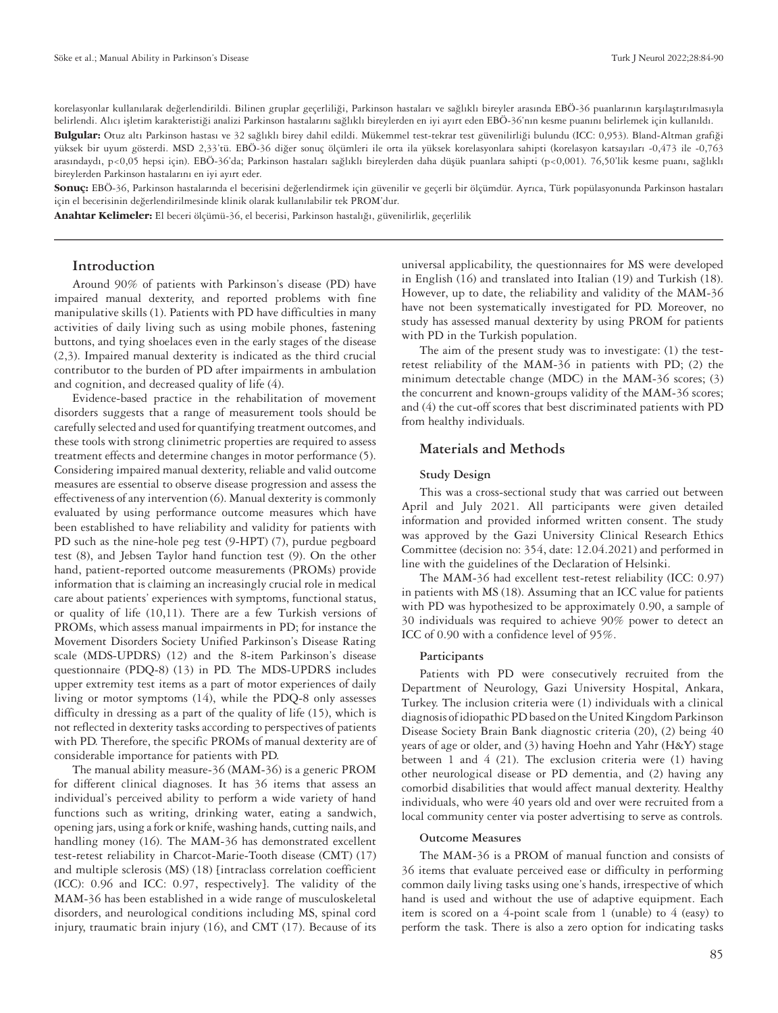korelasyonlar kullanılarak değerlendirildi. Bilinen gruplar geçerliliği, Parkinson hastaları ve sağlıklı bireyler arasında EBÖ-36 puanlarının karşılaştırılmasıyla belirlendi. Alıcı işletim karakteristiği analizi Parkinson hastalarını sağlıklı bireylerden en iyi ayırt eden EBÖ-36'nın kesme puanını belirlemek için kullanıldı. **Bulgular:** Otuz altı Parkinson hastası ve 32 sağlıklı birey dahil edildi. Mükemmel test-tekrar test güvenilirliği bulundu (ICC: 0,953). Bland-Altman grafiği yüksek bir uyum gösterdi. MSD 2,33'tü. EBÖ-36 diğer sonuç ölçümleri ile orta ila yüksek korelasyonlara sahipti (korelasyon katsayıları -0,473 ile -0,763 arasındaydı, p<0,05 hepsi için). EBÖ-36'da; Parkinson hastaları sağlıklı bireylerden daha düşük puanlara sahipti (p<0,001). 76,50'lik kesme puanı, sağlıklı bireylerden Parkinson hastalarını en iyi ayırt eder.

**Sonuç:** EBÖ-36, Parkinson hastalarında el becerisini değerlendirmek için güvenilir ve geçerli bir ölçümdür. Ayrıca, Türk popülasyonunda Parkinson hastaları için el becerisinin değerlendirilmesinde klinik olarak kullanılabilir tek PROM'dur.

**Anahtar Kelimeler:** El beceri ölçümü-36, el becerisi, Parkinson hastalığı, güvenilirlik, geçerlilik

## **Introduction**

Around 90% of patients with Parkinson's disease (PD) have impaired manual dexterity, and reported problems with fine manipulative skills (1). Patients with PD have difficulties in many activities of daily living such as using mobile phones, fastening buttons, and tying shoelaces even in the early stages of the disease (2,3). Impaired manual dexterity is indicated as the third crucial contributor to the burden of PD after impairments in ambulation and cognition, and decreased quality of life (4).

Evidence-based practice in the rehabilitation of movement disorders suggests that a range of measurement tools should be carefully selected and used for quantifying treatment outcomes, and these tools with strong clinimetric properties are required to assess treatment effects and determine changes in motor performance (5). Considering impaired manual dexterity, reliable and valid outcome measures are essential to observe disease progression and assess the effectiveness of any intervention (6). Manual dexterity is commonly evaluated by using performance outcome measures which have been established to have reliability and validity for patients with PD such as the nine-hole peg test (9-HPT) (7), purdue pegboard test (8), and Jebsen Taylor hand function test (9). On the other hand, patient-reported outcome measurements (PROMs) provide information that is claiming an increasingly crucial role in medical care about patients' experiences with symptoms, functional status, or quality of life (10,11). There are a few Turkish versions of PROMs, which assess manual impairments in PD; for instance the Movement Disorders Society Unified Parkinson's Disease Rating scale (MDS-UPDRS) (12) and the 8-item Parkinson's disease questionnaire (PDQ-8) (13) in PD. The MDS-UPDRS includes upper extremity test items as a part of motor experiences of daily living or motor symptoms (14), while the PDQ-8 only assesses difficulty in dressing as a part of the quality of life (15), which is not reflected in dexterity tasks according to perspectives of patients with PD. Therefore, the specific PROMs of manual dexterity are of considerable importance for patients with PD.

The manual ability measure-36 (MAM-36) is a generic PROM for different clinical diagnoses. It has 36 items that assess an individual's perceived ability to perform a wide variety of hand functions such as writing, drinking water, eating a sandwich, opening jars, using a fork or knife, washing hands, cutting nails, and handling money (16). The MAM-36 has demonstrated excellent test-retest reliability in Charcot-Marie-Tooth disease (CMT) (17) and multiple sclerosis (MS) (18) [intraclass correlation coefficient (ICC): 0.96 and ICC: 0.97, respectively]. The validity of the MAM-36 has been established in a wide range of musculoskeletal disorders, and neurological conditions including MS, spinal cord injury, traumatic brain injury (16), and CMT (17). Because of its

universal applicability, the questionnaires for MS were developed in English (16) and translated into Italian (19) and Turkish (18). However, up to date, the reliability and validity of the MAM-36 have not been systematically investigated for PD. Moreover, no study has assessed manual dexterity by using PROM for patients with PD in the Turkish population.

The aim of the present study was to investigate: (1) the testretest reliability of the MAM-36 in patients with PD; (2) the minimum detectable change (MDC) in the MAM-36 scores; (3) the concurrent and known-groups validity of the MAM-36 scores; and (4) the cut-off scores that best discriminated patients with PD from healthy individuals.

#### **Materials and Methods**

#### **Study Design**

This was a cross-sectional study that was carried out between April and July 2021. All participants were given detailed information and provided informed written consent. The study was approved by the Gazi University Clinical Research Ethics Committee (decision no: 354, date: 12.04.2021) and performed in line with the guidelines of the Declaration of Helsinki.

The MAM-36 had excellent test-retest reliability (ICC: 0.97) in patients with MS (18). Assuming that an ICC value for patients with PD was hypothesized to be approximately 0.90, a sample of 30 individuals was required to achieve 90% power to detect an ICC of 0.90 with a confidence level of 95%.

#### **Participants**

Patients with PD were consecutively recruited from the Department of Neurology, Gazi University Hospital, Ankara, Turkey. The inclusion criteria were (1) individuals with a clinical diagnosis of idiopathic PD based on the United Kingdom Parkinson Disease Society Brain Bank diagnostic criteria (20), (2) being 40 years of age or older, and (3) having Hoehn and Yahr (H&Y) stage between 1 and 4 (21). The exclusion criteria were (1) having other neurological disease or PD dementia, and (2) having any comorbid disabilities that would affect manual dexterity. Healthy individuals, who were 40 years old and over were recruited from a local community center via poster advertising to serve as controls.

#### **Outcome Measures**

The MAM-36 is a PROM of manual function and consists of 36 items that evaluate perceived ease or difficulty in performing common daily living tasks using one's hands, irrespective of which hand is used and without the use of adaptive equipment. Each item is scored on a 4-point scale from 1 (unable) to 4 (easy) to perform the task. There is also a zero option for indicating tasks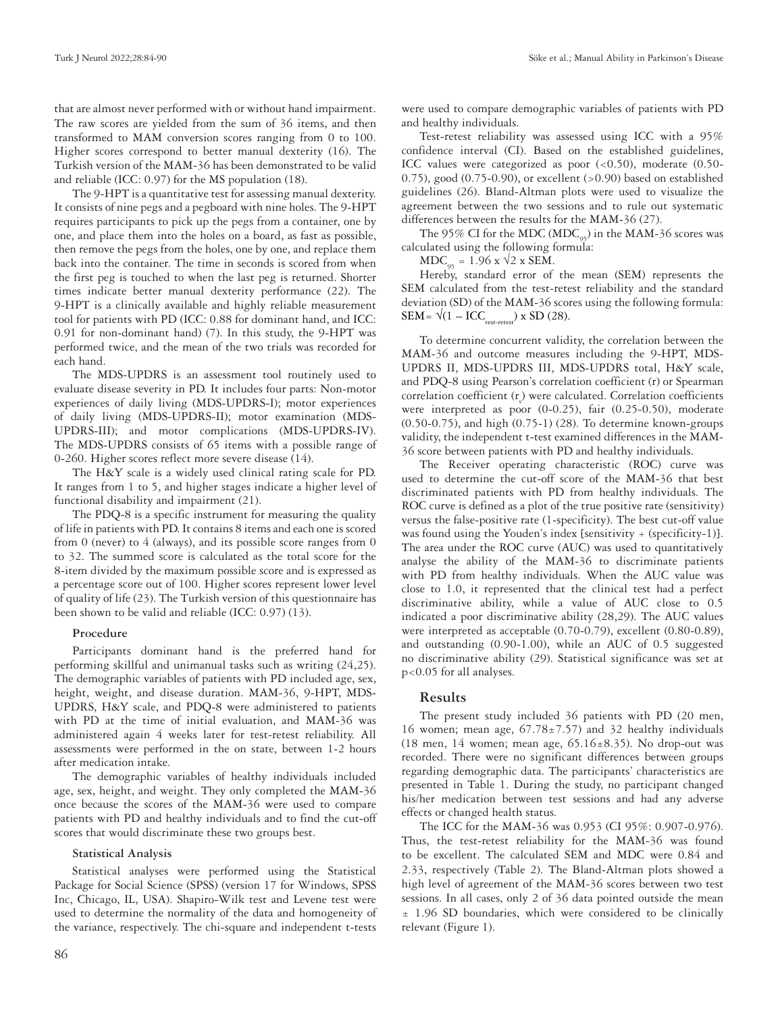that are almost never performed with or without hand impairment. The raw scores are yielded from the sum of 36 items, and then transformed to MAM conversion scores ranging from 0 to 100. Higher scores correspond to better manual dexterity (16). The Turkish version of the MAM-36 has been demonstrated to be valid and reliable (ICC: 0.97) for the MS population (18).

The 9-HPT is a quantitative test for assessing manual dexterity. It consists of nine pegs and a pegboard with nine holes. The 9-HPT requires participants to pick up the pegs from a container, one by one, and place them into the holes on a board, as fast as possible, then remove the pegs from the holes, one by one, and replace them back into the container. The time in seconds is scored from when the first peg is touched to when the last peg is returned. Shorter times indicate better manual dexterity performance (22). The 9-HPT is a clinically available and highly reliable measurement tool for patients with PD (ICC: 0.88 for dominant hand, and ICC: 0.91 for non-dominant hand) (7). In this study, the 9-HPT was performed twice, and the mean of the two trials was recorded for each hand.

The MDS-UPDRS is an assessment tool routinely used to evaluate disease severity in PD. It includes four parts: Non-motor experiences of daily living (MDS-UPDRS-I); motor experiences of daily living (MDS-UPDRS-II); motor examination (MDS-UPDRS-III); and motor complications (MDS-UPDRS-IV). The MDS-UPDRS consists of 65 items with a possible range of 0-260. Higher scores reflect more severe disease (14).

The H&Y scale is a widely used clinical rating scale for PD. It ranges from 1 to 5, and higher stages indicate a higher level of functional disability and impairment (21).

The PDQ-8 is a specific instrument for measuring the quality of life in patients with PD. It contains 8 items and each one is scored from 0 (never) to 4 (always), and its possible score ranges from 0 to 32. The summed score is calculated as the total score for the 8-item divided by the maximum possible score and is expressed as a percentage score out of 100. Higher scores represent lower level of quality of life (23). The Turkish version of this questionnaire has been shown to be valid and reliable (ICC: 0.97) (13).

#### **Procedure**

Participants dominant hand is the preferred hand for performing skillful and unimanual tasks such as writing (24,25). The demographic variables of patients with PD included age, sex, height, weight, and disease duration. MAM-36, 9-HPT, MDS-UPDRS, H&Y scale, and PDQ-8 were administered to patients with PD at the time of initial evaluation, and MAM-36 was administered again 4 weeks later for test-retest reliability. All assessments were performed in the on state, between 1-2 hours after medication intake.

The demographic variables of healthy individuals included age, sex, height, and weight. They only completed the MAM-36 once because the scores of the MAM-36 were used to compare patients with PD and healthy individuals and to find the cut-off scores that would discriminate these two groups best.

#### **Statistical Analysis**

Statistical analyses were performed using the Statistical Package for Social Science (SPSS) (version 17 for Windows, SPSS Inc, Chicago, IL, USA). Shapiro-Wilk test and Levene test were used to determine the normality of the data and homogeneity of the variance, respectively. The chi-square and independent t-tests

were used to compare demographic variables of patients with PD and healthy individuals.

Test-retest reliability was assessed using ICC with a 95% confidence interval (CI). Based on the established guidelines, ICC values were categorized as poor (<0.50), moderate (0.50-  $(0.75)$ , good  $(0.75-0.90)$ , or excellent  $(>0.90)$  based on established guidelines (26). Bland-Altman plots were used to visualize the agreement between the two sessions and to rule out systematic differences between the results for the MAM-36 (27).

The 95% CI for the MDC ( $MDC_{05}$ ) in the MAM-36 scores was calculated using the following formula:

 $MDC_{95} = 1.96 \times \sqrt{2 \times SEM}$ .

Hereby, standard error of the mean (SEM) represents the SEM calculated from the test-retest reliability and the standard deviation (SD) of the MAM-36 scores using the following formula: SEM=  $\sqrt{(1 - \text{ICC}_{\text{test-retest}})}$  x SD (28).

To determine concurrent validity, the correlation between the MAM-36 and outcome measures including the 9-HPT, MDS-UPDRS II, MDS-UPDRS III, MDS-UPDRS total, H&Y scale, and PDQ-8 using Pearson's correlation coefficient (r) or Spearman correlation coefficient  $(r<sub>s</sub>)$  were calculated. Correlation coefficients were interpreted as poor (0-0.25), fair (0.25-0.50), moderate (0.50-0.75), and high (0.75-1) (28). To determine known-groups validity, the independent t-test examined differences in the MAM-36 score between patients with PD and healthy individuals.

The Receiver operating characteristic (ROC) curve was used to determine the cut-off score of the MAM-36 that best discriminated patients with PD from healthy individuals. The ROC curve is defined as a plot of the true positive rate (sensitivity) versus the false-positive rate (1-specificity). The best cut-off value was found using the Youden's index [sensitivity + (specificity-1)]. The area under the ROC curve (AUC) was used to quantitatively analyse the ability of the MAM-36 to discriminate patients with PD from healthy individuals. When the AUC value was close to 1.0, it represented that the clinical test had a perfect discriminative ability, while a value of AUC close to 0.5 indicated a poor discriminative ability (28,29). The AUC values were interpreted as acceptable (0.70-0.79), excellent (0.80-0.89), and outstanding (0.90-1.00), while an AUC of 0.5 suggested no discriminative ability (29). Statistical significance was set at p<0.05 for all analyses.

#### **Results**

The present study included 36 patients with PD (20 men, 16 women; mean age,  $67.78 \pm 7.57$ ) and 32 healthy individuals (18 men, 14 women; mean age,  $65.16 \pm 8.35$ ). No drop-out was recorded. There were no significant differences between groups regarding demographic data. The participants' characteristics are presented in Table 1. During the study, no participant changed his/her medication between test sessions and had any adverse effects or changed health status.

The ICC for the MAM-36 was 0.953 (CI 95%: 0.907-0.976). Thus, the test-retest reliability for the MAM-36 was found to be excellent. The calculated SEM and MDC were 0.84 and 2.33, respectively (Table 2). The Bland-Altman plots showed a high level of agreement of the MAM-36 scores between two test sessions. In all cases, only 2 of 36 data pointed outside the mean ± 1.96 SD boundaries, which were considered to be clinically relevant (Figure 1).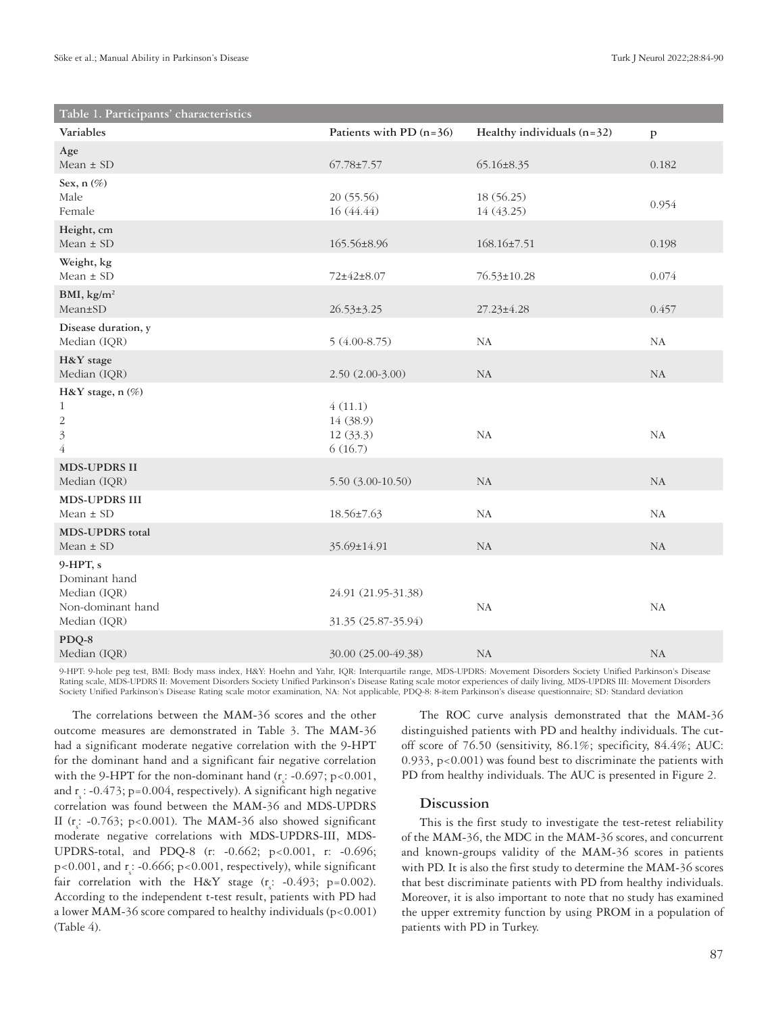| Table 1. Participants' characteristics                                             |                                              |                              |              |
|------------------------------------------------------------------------------------|----------------------------------------------|------------------------------|--------------|
| Variables                                                                          | Patients with PD $(n=36)$                    | Healthy individuals $(n=32)$ | $\mathbf{p}$ |
| Age<br>Mean $\pm$ SD                                                               | 67.78±7.57                                   | $65.16 \pm 8.35$             | 0.182        |
| Sex, $n$ $(\%)$<br>Male<br>Female                                                  | 20(55.56)<br>16 (44.44)                      | 18 (56.25)<br>14 (43.25)     | 0.954        |
| Height, cm<br>$Mean \pm SD$                                                        | 165.56±8.96                                  | $168.16 \pm 7.51$            | 0.198        |
| Weight, kg<br>Mean $\pm$ SD                                                        | 72±42±8.07                                   | 76.53±10.28                  | 0.074        |
| BMI, $\text{kg/m}^2$<br>Mean±SD                                                    | $26.53 \pm 3.25$                             | $27.23 \pm 4.28$             | 0.457        |
| Disease duration, y<br>Median (IQR)                                                | $5(4.00-8.75)$                               | <b>NA</b>                    | NA           |
| H&Y stage<br>Median (IQR)                                                          | $2.50(2.00-3.00)$                            | <b>NA</b>                    | NA           |
| H&Y stage, n (%)<br>$\mathbf{1}$<br>$\sqrt{2}$<br>$\overline{3}$<br>$\overline{4}$ | 4(11.1)<br>14 (38.9)<br>12 (33.3)<br>6(16.7) | <b>NA</b>                    | NA           |
| <b>MDS-UPDRS II</b><br>Median (IQR)                                                | $5.50(3.00-10.50)$                           | NA                           | NA           |
| <b>MDS-UPDRS III</b><br>Mean $\pm$ SD                                              | 18.56±7.63                                   | NA                           | NA           |
| <b>MDS-UPDRS</b> total<br>Mean $\pm$ SD                                            | 35.69±14.91                                  | NA                           | NA           |
| $9-HPT, s$<br>Dominant hand<br>Median (IQR)<br>Non-dominant hand<br>Median (IQR)   | 24.91 (21.95-31.38)<br>31.35 (25.87-35.94)   | <b>NA</b>                    | NA           |
| PDQ-8<br>Median (IQR)                                                              | 30.00 (25.00-49.38)                          | NA                           | NA           |

9-HPT: 9-hole peg test, BMI: Body mass index, H&Y: Hoehn and Yahr, IQR: Interquartile range, MDS-UPDRS: Movement Disorders Society Unified Parkinson's Disease Rating scale, MDS-UPDRS II: Movement Disorders Society Unified Parkinson's Disease Rating scale motor experiences of daily living, MDS-UPDRS III: Movement Disorders Society Unified Parkinson's Disease Rating scale motor examination, NA: Not applicable, PDQ-8: 8-item Parkinson's disease questionnaire; SD: Standard deviation

The correlations between the MAM-36 scores and the other outcome measures are demonstrated in Table 3. The MAM-36 had a significant moderate negative correlation with the 9-HPT for the dominant hand and a significant fair negative correlation with the 9-HPT for the non-dominant hand ( $r_s$ : -0.697; p<0.001, and  $r_s$ : -0.473; p=0.004, respectively). A significant high negative correlation was found between the MAM-36 and MDS-UPDRS II ( $r_s$ : -0.763; p<0.001). The MAM-36 also showed significant moderate negative correlations with MDS-UPDRS-III, MDS-UPDRS-total, and PDQ-8 (r: -0.662; p<0.001, r: -0.696;  $p<0.001$ , and  $r_s$ : -0.666;  $p<0.001$ , respectively), while significant fair correlation with the H&Y stage  $(r_s$ : -0.493; p=0.002). According to the independent t-test result, patients with PD had a lower MAM-36 score compared to healthy individuals  $(p<0.001)$ (Table 4).

The ROC curve analysis demonstrated that the MAM-36 distinguished patients with PD and healthy individuals. The cutoff score of 76.50 (sensitivity, 86.1%; specificity, 84.4%; AUC: 0.933, p<0.001) was found best to discriminate the patients with PD from healthy individuals. The AUC is presented in Figure 2.

# **Discussion**

This is the first study to investigate the test-retest reliability of the MAM-36, the MDC in the MAM-36 scores, and concurrent and known-groups validity of the MAM-36 scores in patients with PD. It is also the first study to determine the MAM-36 scores that best discriminate patients with PD from healthy individuals. Moreover, it is also important to note that no study has examined the upper extremity function by using PROM in a population of patients with PD in Turkey.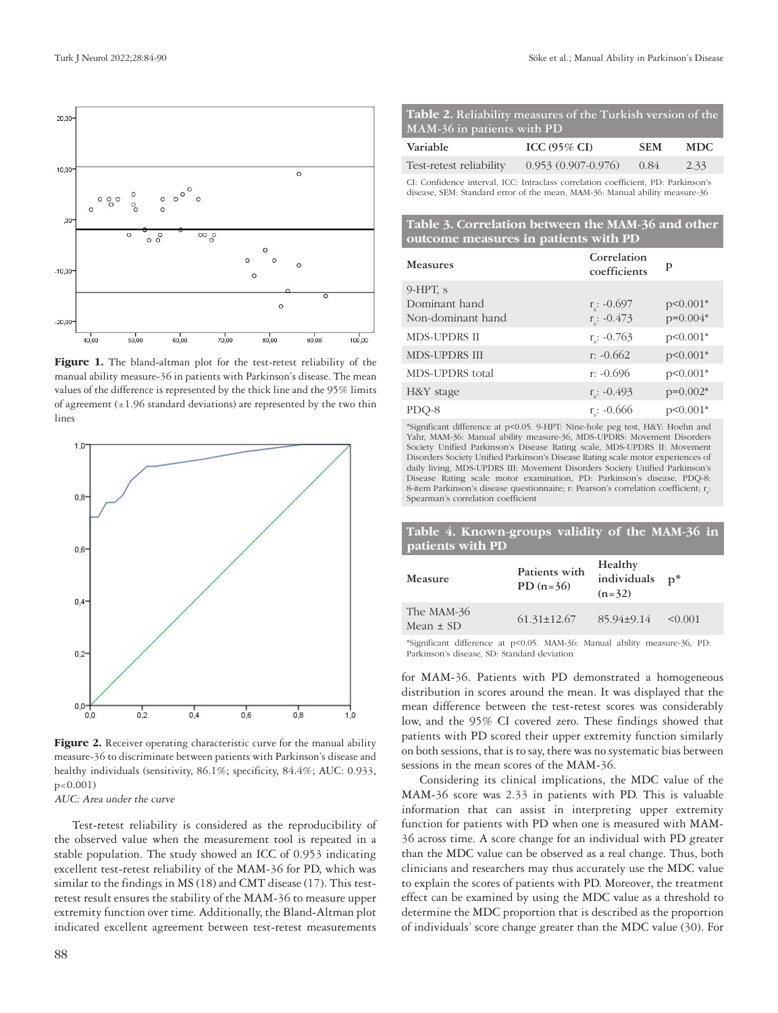

Figure 1. The bland-altman plot for the test-retest reliability of the manual ability measure-36 in patients with Parkinson's disease. The mean values of the difference is represented by the thick line and the 95% limits of agreement  $(\pm 1.96$  standard deviations) are represented by the two thin lines



Figure 2. Receiver operating characteristic curve for the manual ability measure-36 to discriminate between patients with Parkinson's disease and healthy individuals (sensitivity, 86.1%; specificity, 84.4%; AUC: 0.933, p<0.001)

AUC: Area under the curve

Test-retest reliability is considered as the reproducibility of the observed value when the measurement tool is repeated in a stable population. The study showed an ICC of 0.953 indicating excellent test-retest reliability of the MAM-36 for PD, which was similar to the findings in MS (18) and CMT disease (17). This testretest result ensures the stability of the MAM-36 to measure upper extremity function over time. Additionally, the Bland-Altman plot indicated excellent agreement between test-retest measurements

| Table 2. Reliability measures of the Turkish version of the |  |
|-------------------------------------------------------------|--|
| MAM-36 in patients with PD                                  |  |

| Variable                | ICC $(95\% \text{ CI})$ | <b>SEM</b> | <b>MDC</b> |
|-------------------------|-------------------------|------------|------------|
| Test-retest reliability | $0.953(0.907-0.976)$    | 0.84       | 2.33       |

CI: Confidence interval, ICC: Intraclass correlation coefficient, PD: Parkinson's disease, SEM: Standard error of the mean, MAM-36: Manual ability measure-36

## **Table 3. Correlation between the MAM-36 and other outcome measures in patients with PD**

| <b>Measures</b>      | Correlation<br>coefficients | p          |
|----------------------|-----------------------------|------------|
| $9-HPT$ , s          |                             |            |
| Dominant hand        | $r_s$ : -0.697              | p<0.001*   |
| Non-dominant hand    | $r_c$ : -0.473              | $p=0.004*$ |
| <b>MDS-UPDRS II</b>  | $r_c$ : -0.763              | $p<0.001*$ |
| <b>MDS-UPDRS III</b> | $r: -0.662$                 | $p<0.001*$ |
| MDS-UPDRS total      | $r: -0.696$                 | $p<0.001*$ |
| H&Y stage            | $r_c$ : -0.493              | $p=0.002*$ |
| PDO-8                | $r: -0.666$                 | $p<0.001*$ |

\*Significant difference at p<0.05. 9-HPT: Nine-hole peg test, H&Y: Hoehn and Yahr, MAM-36: Manual ability measure-36, MDS-UPDRS: Movement Disorders Society Unified Parkinson's Disease Rating scale, MDS-UPDRS II: Movement Disorders Society Unified Parkinson's Disease Rating scale motor experiences of daily living, MDS-UPDRS III: Movement Disorders Society Unified Parkinson's Disease Rating scale motor examination, PD: Parkinson's disease, PDQ-8: 8-item Parkinson's disease questionnaire;  $r$ : Pearson's correlation coefficient;  $r_s$ : Spearman's correlation coefficient

# **Table 4. Known-groups validity of the MAM-36 in patients with PD**

| Measure                     | Patients with<br>$PD (n=36)$ | Healthy<br>individuals<br>$(n=32)$ | $D^*$   |
|-----------------------------|------------------------------|------------------------------------|---------|
| The MAM-36<br>Mean $\pm$ SD | $61.31 \pm 12.67$            | 85.94±9.14                         | < 0.001 |

\*Significant difference at p<0.05. MAM-36: Manual ability measure-36, PD: Parkinson's disease, SD: Standard deviation

for MAM-36. Patients with PD demonstrated a homogeneous distribution in scores around the mean. It was displayed that the mean difference between the test-retest scores was considerably low, and the 95% CI covered zero. These findings showed that patients with PD scored their upper extremity function similarly on both sessions, that is to say, there was no systematic bias between sessions in the mean scores of the MAM-36.

Considering its clinical implications, the MDC value of the MAM-36 score was 2.33 in patients with PD. This is valuable information that can assist in interpreting upper extremity function for patients with PD when one is measured with MAM-36 across time. A score change for an individual with PD greater than the MDC value can be observed as a real change. Thus, both clinicians and researchers may thus accurately use the MDC value to explain the scores of patients with PD. Moreover, the treatment effect can be examined by using the MDC value as a threshold to determine the MDC proportion that is described as the proportion of individuals' score change greater than the MDC value (30). For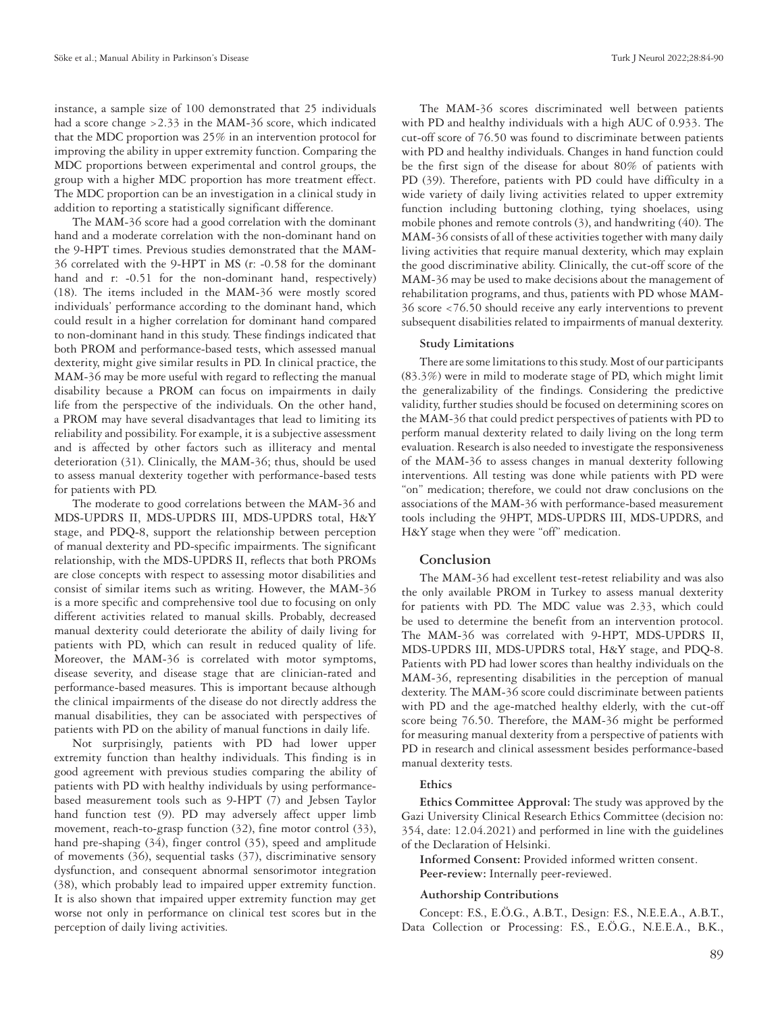instance, a sample size of 100 demonstrated that 25 individuals had a score change >2.33 in the MAM-36 score, which indicated that the MDC proportion was 25% in an intervention protocol for improving the ability in upper extremity function. Comparing the MDC proportions between experimental and control groups, the group with a higher MDC proportion has more treatment effect. The MDC proportion can be an investigation in a clinical study in addition to reporting a statistically significant difference.

The MAM-36 score had a good correlation with the dominant hand and a moderate correlation with the non-dominant hand on the 9-HPT times. Previous studies demonstrated that the MAM-36 correlated with the 9-HPT in MS (r: -0.58 for the dominant hand and r: -0.51 for the non-dominant hand, respectively) (18). The items included in the MAM-36 were mostly scored individuals' performance according to the dominant hand, which could result in a higher correlation for dominant hand compared to non-dominant hand in this study. These findings indicated that both PROM and performance-based tests, which assessed manual dexterity, might give similar results in PD. In clinical practice, the MAM-36 may be more useful with regard to reflecting the manual disability because a PROM can focus on impairments in daily life from the perspective of the individuals. On the other hand, a PROM may have several disadvantages that lead to limiting its reliability and possibility. For example, it is a subjective assessment and is affected by other factors such as illiteracy and mental deterioration (31). Clinically, the MAM-36; thus, should be used to assess manual dexterity together with performance-based tests for patients with PD.

The moderate to good correlations between the MAM-36 and MDS-UPDRS II, MDS-UPDRS III, MDS-UPDRS total, H&Y stage, and PDQ-8, support the relationship between perception of manual dexterity and PD-specific impairments. The significant relationship, with the MDS-UPDRS II, reflects that both PROMs are close concepts with respect to assessing motor disabilities and consist of similar items such as writing. However, the MAM-36 is a more specific and comprehensive tool due to focusing on only different activities related to manual skills. Probably, decreased manual dexterity could deteriorate the ability of daily living for patients with PD, which can result in reduced quality of life. Moreover, the MAM-36 is correlated with motor symptoms, disease severity, and disease stage that are clinician-rated and performance-based measures. This is important because although the clinical impairments of the disease do not directly address the manual disabilities, they can be associated with perspectives of patients with PD on the ability of manual functions in daily life.

Not surprisingly, patients with PD had lower upper extremity function than healthy individuals. This finding is in good agreement with previous studies comparing the ability of patients with PD with healthy individuals by using performancebased measurement tools such as 9-HPT (7) and Jebsen Taylor hand function test (9). PD may adversely affect upper limb movement, reach-to-grasp function (32), fine motor control (33), hand pre-shaping (34), finger control (35), speed and amplitude of movements (36), sequential tasks (37), discriminative sensory dysfunction, and consequent abnormal sensorimotor integration (38), which probably lead to impaired upper extremity function. It is also shown that impaired upper extremity function may get worse not only in performance on clinical test scores but in the perception of daily living activities.

The MAM-36 scores discriminated well between patients with PD and healthy individuals with a high AUC of 0.933. The cut-off score of 76.50 was found to discriminate between patients with PD and healthy individuals. Changes in hand function could be the first sign of the disease for about 80% of patients with PD (39). Therefore, patients with PD could have difficulty in a wide variety of daily living activities related to upper extremity function including buttoning clothing, tying shoelaces, using mobile phones and remote controls (3), and handwriting (40). The MAM-36 consists of all of these activities together with many daily living activities that require manual dexterity, which may explain the good discriminative ability. Clinically, the cut-off score of the MAM-36 may be used to make decisions about the management of rehabilitation programs, and thus, patients with PD whose MAM-36 score <76.50 should receive any early interventions to prevent subsequent disabilities related to impairments of manual dexterity.

### **Study Limitations**

There are some limitations to this study. Most of our participants (83.3%) were in mild to moderate stage of PD, which might limit the generalizability of the findings. Considering the predictive validity, further studies should be focused on determining scores on the MAM-36 that could predict perspectives of patients with PD to perform manual dexterity related to daily living on the long term evaluation. Research is also needed to investigate the responsiveness of the MAM-36 to assess changes in manual dexterity following interventions. All testing was done while patients with PD were "on" medication; therefore, we could not draw conclusions on the associations of the MAM-36 with performance-based measurement tools including the 9HPT, MDS-UPDRS III, MDS-UPDRS, and H&Y stage when they were "off" medication.

## **Conclusion**

The MAM-36 had excellent test-retest reliability and was also the only available PROM in Turkey to assess manual dexterity for patients with PD. The MDC value was 2.33, which could be used to determine the benefit from an intervention protocol. The MAM-36 was correlated with 9-HPT, MDS-UPDRS II, MDS-UPDRS III, MDS-UPDRS total, H&Y stage, and PDQ-8. Patients with PD had lower scores than healthy individuals on the MAM-36, representing disabilities in the perception of manual dexterity. The MAM-36 score could discriminate between patients with PD and the age-matched healthy elderly, with the cut-off score being 76.50. Therefore, the MAM-36 might be performed for measuring manual dexterity from a perspective of patients with PD in research and clinical assessment besides performance-based manual dexterity tests.

## **Ethics**

**Ethics Committee Approval:** The study was approved by the Gazi University Clinical Research Ethics Committee (decision no: 354, date: 12.04.2021) and performed in line with the guidelines of the Declaration of Helsinki.

**Informed Consent:** Provided informed written consent. **Peer-review:** Internally peer-reviewed.

#### **Authorship Contributions**

Concept: F.S., E.Ö.G., A.B.T., Design: F.S., N.E.E.A., A.B.T., Data Collection or Processing: F.S., E.Ö.G., N.E.E.A., B.K.,